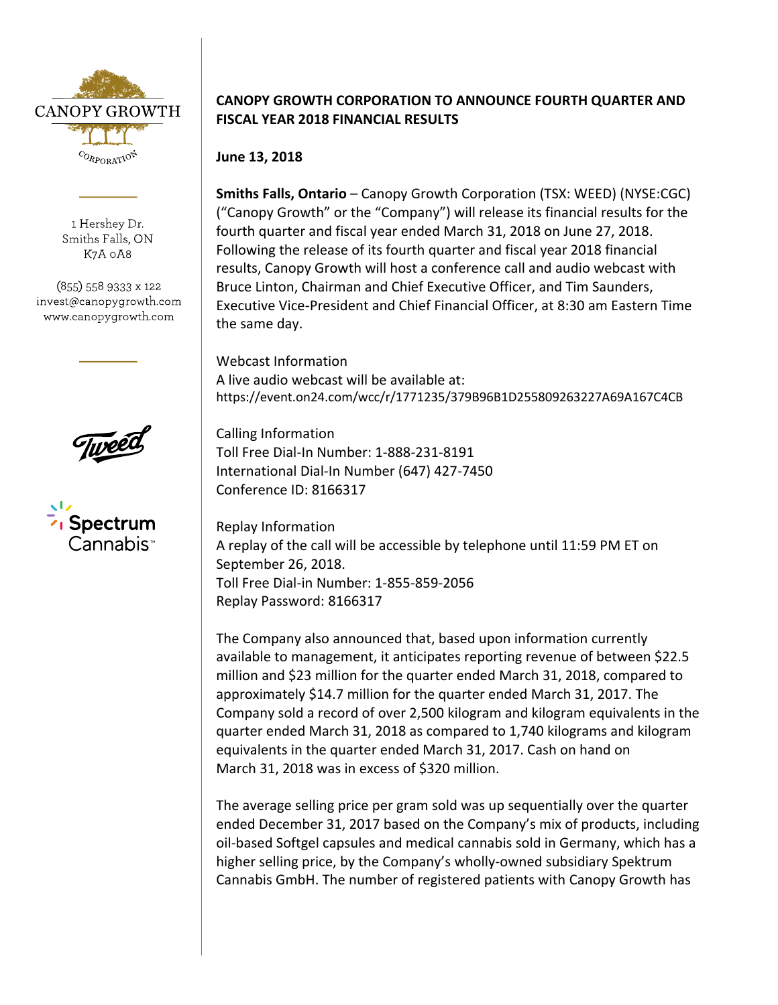

1 Hershey Dr. Smiths Falls, ON K7A 0A8

(855) 558 9333 x 122 invest@canopygrowth.com www.canopygrowth.com



## **CANOPY GROWTH CORPORATION TO ANNOUNCE FOURTH QUARTER AND FISCAL YEAR 2018 FINANCIAL RESULTS**

**June 13, 2018**

**Smiths Falls, Ontario** – Canopy Growth Corporation (TSX: WEED) (NYSE:CGC) ("Canopy Growth" or the "Company") will release its financial results for the fourth quarter and fiscal year ended March 31, 2018 on June 27, 2018. Following the release of its fourth quarter and fiscal year 2018 financial results, Canopy Growth will host a conference call and audio webcast with Bruce Linton, Chairman and Chief Executive Officer, and Tim Saunders, Executive Vice-President and Chief Financial Officer, at 8:30 am Eastern Time the same day.

Webcast Information A live audio webcast will be available at: https://event.on24.com/wcc/r/1771235/379B96B1D255809263227A69A167C4CB

Calling Information Toll Free Dial-In Number: 1-888-231-8191 International Dial-In Number (647) 427-7450 Conference ID: 8166317

Replay Information A replay of the call will be accessible by telephone until 11:59 PM ET on September 26, 2018. Toll Free Dial-in Number: 1-855-859-2056 Replay Password: 8166317

The Company also announced that, based upon information currently available to management, it anticipates reporting revenue of between \$22.5 million and \$23 million for the quarter ended March 31, 2018, compared to approximately \$14.7 million for the quarter ended March 31, 2017. The Company sold a record of over 2,500 kilogram and kilogram equivalents in the quarter ended March 31, 2018 as compared to 1,740 kilograms and kilogram equivalents in the quarter ended March 31, 2017. Cash on hand on March 31, 2018 was in excess of \$320 million.

The average selling price per gram sold was up sequentially over the quarter ended December 31, 2017 based on the Company's mix of products, including oil-based Softgel capsules and medical cannabis sold in Germany, which has a higher selling price, by the Company's wholly-owned subsidiary Spektrum Cannabis GmbH. The number of registered patients with Canopy Growth has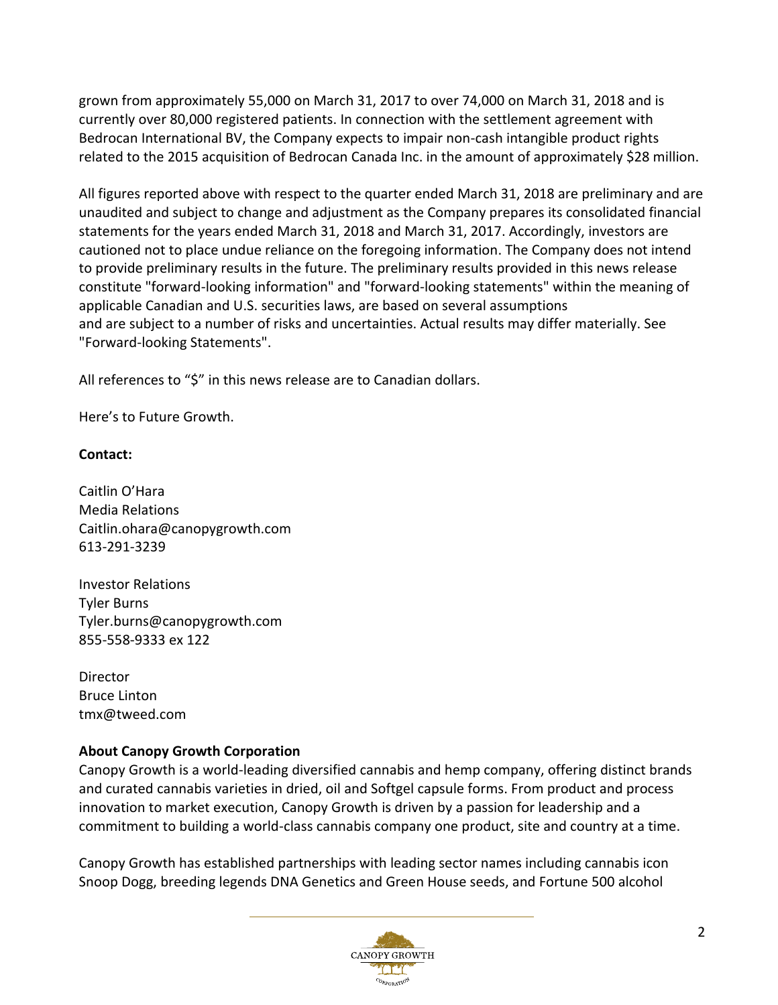grown from approximately 55,000 on March 31, 2017 to over 74,000 on March 31, 2018 and is currently over 80,000 registered patients. In connection with the settlement agreement with Bedrocan International BV, the Company expects to impair non-cash intangible product rights related to the 2015 acquisition of Bedrocan Canada Inc. in the amount of approximately \$28 million.

All figures reported above with respect to the quarter ended March 31, 2018 are preliminary and are unaudited and subject to change and adjustment as the Company prepares its consolidated financial statements for the years ended March 31, 2018 and March 31, 2017. Accordingly, investors are cautioned not to place undue reliance on the foregoing information. The Company does not intend to provide preliminary results in the future. The preliminary results provided in this news release constitute "forward-looking information" and "forward-looking statements" within the meaning of applicable Canadian and U.S. securities laws, are based on several assumptions and are subject to a number of risks and uncertainties. Actual results may differ materially. See "Forward-looking Statements".

All references to "\$" in this news release are to Canadian dollars.

Here's to Future Growth.

## **Contact:**

Caitlin O'Hara Media Relations Caitlin.ohara@canopygrowth.com 613-291-3239

Investor Relations Tyler Burns Tyler.burns@canopygrowth.com 855-558-9333 ex 122

Director Bruce Linton tmx@tweed.com

## **About Canopy Growth Corporation**

Canopy Growth is a world-leading diversified cannabis and hemp company, offering distinct brands and curated cannabis varieties in dried, oil and Softgel capsule forms. From product and process innovation to market execution, Canopy Growth is driven by a passion for leadership and a commitment to building a world-class cannabis company one product, site and country at a time.

Canopy Growth has established partnerships with leading sector names including cannabis icon Snoop Dogg, breeding legends DNA Genetics and Green House seeds, and Fortune 500 alcohol

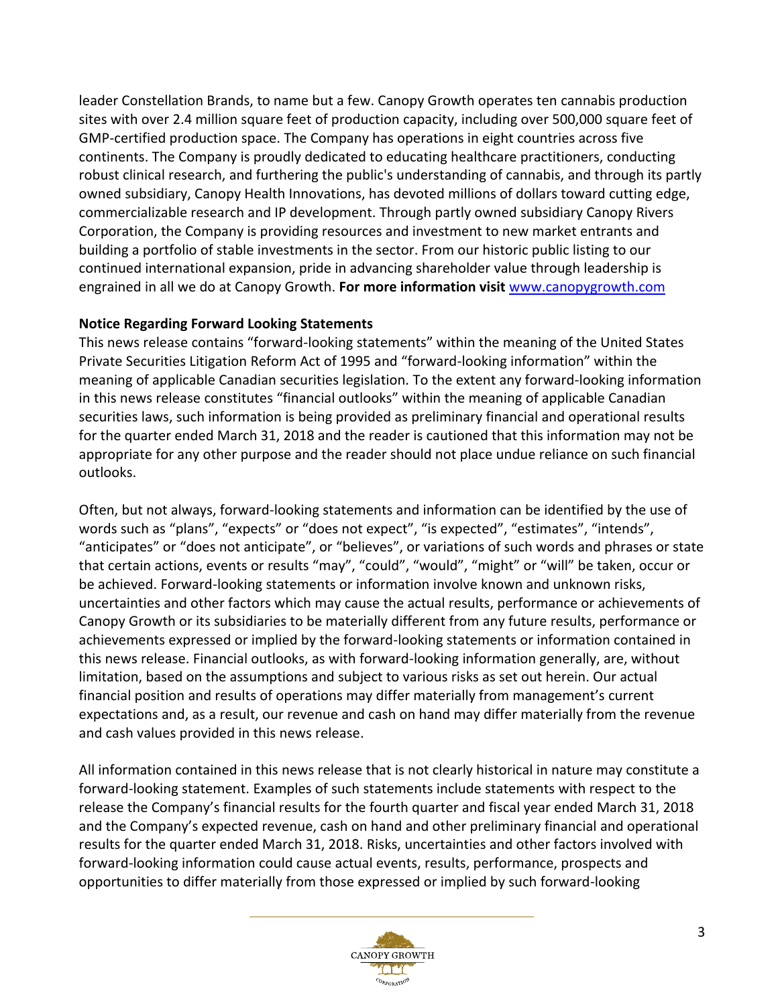leader Constellation Brands, to name but a few. Canopy Growth operates ten cannabis production sites with over 2.4 million square feet of production capacity, including over 500,000 square feet of GMP-certified production space. The Company has operations in eight countries across five continents. The Company is proudly dedicated to educating healthcare practitioners, conducting robust clinical research, and furthering the public's understanding of cannabis, and through its partly owned subsidiary, Canopy Health Innovations, has devoted millions of dollars toward cutting edge, commercializable research and IP development. Through partly owned subsidiary Canopy Rivers Corporation, the Company is providing resources and investment to new market entrants and building a portfolio of stable investments in the sector. From our historic public listing to our continued international expansion, pride in advancing shareholder value through leadership is engrained in all we do at Canopy Growth. **For more information visit** [www.canopygrowth.com](http://www.canopygrowth.com/)

## **Notice Regarding Forward Looking Statements**

This news release contains "forward-looking statements" within the meaning of the United States Private Securities Litigation Reform Act of 1995 and "forward-looking information" within the meaning of applicable Canadian securities legislation. To the extent any forward-looking information in this news release constitutes "financial outlooks" within the meaning of applicable Canadian securities laws, such information is being provided as preliminary financial and operational results for the quarter ended March 31, 2018 and the reader is cautioned that this information may not be appropriate for any other purpose and the reader should not place undue reliance on such financial outlooks.

Often, but not always, forward-looking statements and information can be identified by the use of words such as "plans", "expects" or "does not expect", "is expected", "estimates", "intends", "anticipates" or "does not anticipate", or "believes", or variations of such words and phrases or state that certain actions, events or results "may", "could", "would", "might" or "will" be taken, occur or be achieved. Forward-looking statements or information involve known and unknown risks, uncertainties and other factors which may cause the actual results, performance or achievements of Canopy Growth or its subsidiaries to be materially different from any future results, performance or achievements expressed or implied by the forward-looking statements or information contained in this news release. Financial outlooks, as with forward-looking information generally, are, without limitation, based on the assumptions and subject to various risks as set out herein. Our actual financial position and results of operations may differ materially from management's current expectations and, as a result, our revenue and cash on hand may differ materially from the revenue and cash values provided in this news release.

All information contained in this news release that is not clearly historical in nature may constitute a forward-looking statement. Examples of such statements include statements with respect to the release the Company's financial results for the fourth quarter and fiscal year ended March 31, 2018 and the Company's expected revenue, cash on hand and other preliminary financial and operational results for the quarter ended March 31, 2018. Risks, uncertainties and other factors involved with forward-looking information could cause actual events, results, performance, prospects and opportunities to differ materially from those expressed or implied by such forward-looking